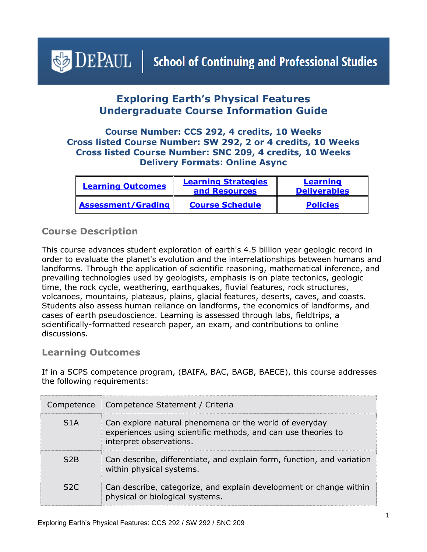# <span id="page-0-1"></span> $\triangle$  DEPAUL | School of Continuing and Professional Studies

# **Exploring Earth's Physical Features Undergraduate Course Information Guide**

# **Course Number: CCS 292, 4 credits, 10 Weeks Cross listed Course Number: SW 292, 2 or 4 credits, 10 Weeks Cross listed Course Number: SNC 209, 4 credits, 10 Weeks Delivery Formats: Online Async**

| <b>Learning Outcomes</b>  | <b>Learning Strategies</b><br>and Resources | <b>Learning</b><br><b>Deliverables</b> |
|---------------------------|---------------------------------------------|----------------------------------------|
| <b>Assessment/Grading</b> | <b>Course Schedule</b>                      | <b>Policies</b>                        |

# **Course Description**

This course advances student exploration of earth's 4.5 billion year geologic record in order to evaluate the planet's evolution and the interrelationships between humans and landforms. Through the application of scientific reasoning, mathematical inference, and prevailing technologies used by geologists, emphasis is on plate tectonics, geologic time, the rock cycle, weathering, earthquakes, fluvial features, rock structures, volcanoes, mountains, plateaus, plains, glacial features, deserts, caves, and coasts. Students also assess human reliance on landforms, the economics of landforms, and cases of earth pseudoscience. Learning is assessed through labs, fieldtrips, a scientifically-formatted research paper, an exam, and contributions to online discussions.

### <span id="page-0-0"></span>**Learning Outcomes**

If in a SCPS competence program, (BAIFA, BAC, BAGB, BAECE), this course addresses the following requirements:

|                  | Competence   Competence Statement / Criteria                                                                                                       |
|------------------|----------------------------------------------------------------------------------------------------------------------------------------------------|
| S <sub>1</sub> A | Can explore natural phenomena or the world of everyday<br>experiences using scientific methods, and can use theories to<br>interpret observations. |
| S <sub>2</sub> B | Can describe, differentiate, and explain form, function, and variation<br>within physical systems.                                                 |
| S <sub>2C</sub>  | Can describe, categorize, and explain development or change within<br>physical or biological systems.                                              |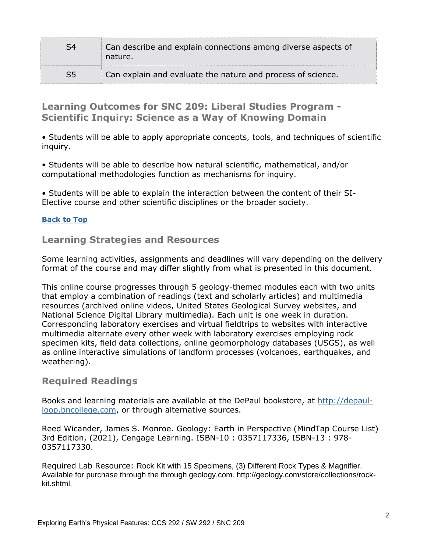| S4             | Can describe and explain connections among diverse aspects of<br>mature. |
|----------------|--------------------------------------------------------------------------|
| S <sub>5</sub> | Can explain and evaluate the nature and process of science.              |

<span id="page-1-0"></span>**Learning Outcomes for SNC 209: Liberal Studies Program - Scientific Inquiry: Science as a Way of Knowing Domain**

• Students will be able to apply appropriate concepts, tools, and techniques of scientific inquiry.

• Students will be able to describe how natural scientific, mathematical, and/or computational methodologies function as mechanisms for inquiry.

• Students will be able to explain the interaction between the content of their SI-Elective course and other scientific disciplines or the broader society.

#### **[Back to Top](#page-0-1)**

#### **Learning Strategies and Resources**

Some learning activities, assignments and deadlines will vary depending on the delivery format of the course and may differ slightly from what is presented in this document.

This online course progresses through 5 geology-themed modules each with two units that employ a combination of readings (text and scholarly articles) and multimedia resources (archived online videos, United States Geological Survey websites, and National Science Digital Library multimedia). Each unit is one week in duration. Corresponding laboratory exercises and virtual fieldtrips to websites with interactive multimedia alternate every other week with laboratory exercises employing rock specimen kits, field data collections, online geomorphology databases (USGS), as well as online interactive simulations of landform processes (volcanoes, earthquakes, and weathering).

#### **Required Readings**

Books and learning materials are available at the DePaul bookstore, at [http://depaul](http://depaul-loop.bncollege.com/)[loop.bncollege.com,](http://depaul-loop.bncollege.com/) or through alternative sources.

Reed Wicander, James S. Monroe. Geology: Earth in Perspective (MindTap Course List) 3rd Edition, (2021), Cengage Learning. ISBN-10 : 0357117336, ISBN-13 : 978- 0357117330.

Required Lab Resource: Rock Kit with 15 Specimens, (3) Different Rock Types & Magnifier. Available for purchase through the through geology.com. http://geology.com/store/collections/rockkit.shtml.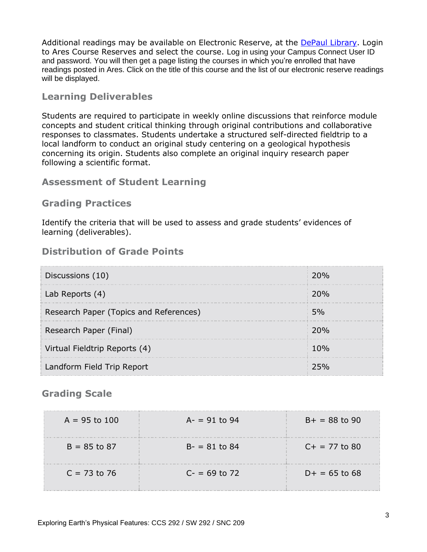Additional readings may be available on Electronic Reserve, at the [DePaul Library.](https://library.depaul.edu/services/Pages/Course-Reserves-Services.aspx) Login to Ares Course Reserves and select the course. Log in using your Campus Connect User ID and password. You will then get a page listing the courses in which you're enrolled that have readings posted in Ares. Click on the title of this course and the list of our electronic reserve readings will be displayed.

#### <span id="page-2-0"></span>**Learning Deliverables**

Students are required to participate in weekly online discussions that reinforce module concepts and student critical thinking through original contributions and collaborative responses to classmates. Students undertake a structured self-directed fieldtrip to a local landform to conduct an original study centering on a geological hypothesis concerning its origin. Students also complete an original inquiry research paper following a scientific format.

#### <span id="page-2-1"></span>**Assessment of Student Learning**

#### **Grading Practices**

Identify the criteria that will be used to assess and grade students' evidences of learning (deliverables).

#### **Distribution of Grade Points**

| Discussions (10)                       | 20%             |
|----------------------------------------|-----------------|
| Lab Reports (4)                        | 20 <sub>%</sub> |
| Research Paper (Topics and References) | .5%             |
| Research Paper (Final)                 | 20%             |
| Virtual Fieldtrip Reports (4)          | 10%             |
| Landform Field Trip Report             |                 |

# **Grading Scale**

| $A = 95$ to 100 | $A = 91$ to 94   | $B+ = 88$ to 90  |
|-----------------|------------------|------------------|
| $B = 85$ to 87  | $B - = 81$ to 84 | $C + = 77$ to 80 |
| $C = 73$ to 76  | $C = 69$ to 72   | $D+ = 65$ to 68  |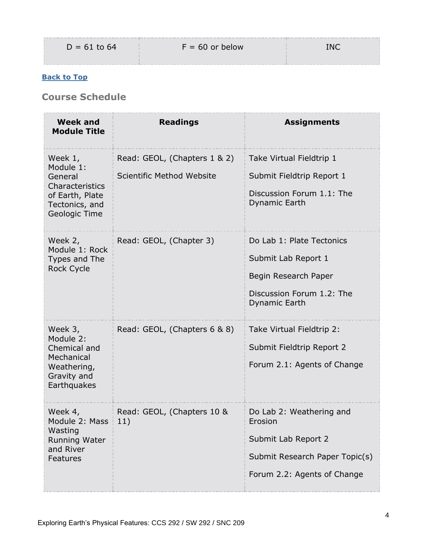| $D = 61$ to 64 | $F = 60$ or below | <b>INC</b> |
|----------------|-------------------|------------|
|                |                   |            |

# **[Back to Top](#page-0-1)**

# <span id="page-3-0"></span>**Course Schedule**

| <b>Week and</b><br><b>Module Title</b>                                                                   | <b>Readings</b>                                           | <b>Assignments</b>                                                                                                          |
|----------------------------------------------------------------------------------------------------------|-----------------------------------------------------------|-----------------------------------------------------------------------------------------------------------------------------|
| Week 1,<br>Module 1:<br>General<br>Characteristics<br>of Earth, Plate<br>Tectonics, and<br>Geologic Time | Read: GEOL, (Chapters 1 & 2)<br>Scientific Method Website | Take Virtual Fieldtrip 1<br>Submit Fieldtrip Report 1<br>Discussion Forum 1.1: The<br>Dynamic Earth                         |
| Week 2,<br>Module 1: Rock<br>Types and The<br><b>Rock Cycle</b>                                          | Read: GEOL, (Chapter 3)                                   | Do Lab 1: Plate Tectonics<br>Submit Lab Report 1<br>Begin Research Paper<br>Discussion Forum 1.2: The<br>Dynamic Earth      |
| Week 3,<br>Module 2:<br>Chemical and<br>Mechanical<br>Weathering,<br>Gravity and<br>Earthquakes          | Read: GEOL, (Chapters 6 & 8)                              | Take Virtual Fieldtrip 2:<br>Submit Fieldtrip Report 2<br>Forum 2.1: Agents of Change                                       |
| Week 4,<br>Module 2: Mass<br>Wasting<br><b>Running Water</b><br>and River<br><b>Features</b>             | Read: GEOL, (Chapters 10 &<br>11)                         | Do Lab 2: Weathering and<br>Erosion<br>Submit Lab Report 2<br>Submit Research Paper Topic(s)<br>Forum 2.2: Agents of Change |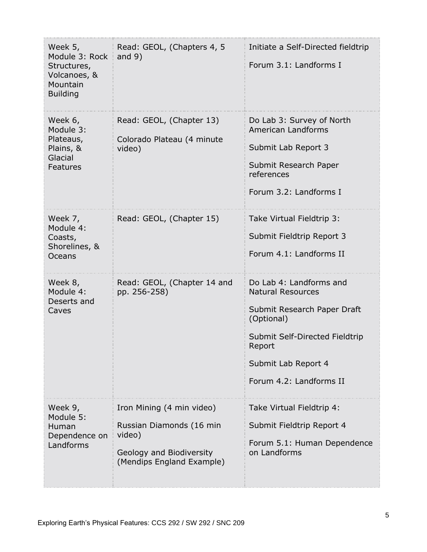| Week 5,<br>Module 3: Rock<br>Structures,<br>Volcanoes, &<br>Mountain<br><b>Building</b> | Read: GEOL, (Chapters 4, 5<br>and $9)$                                                                                   | Initiate a Self-Directed fieldtrip<br>Forum 3.1: Landforms I                                                                                                                                   |
|-----------------------------------------------------------------------------------------|--------------------------------------------------------------------------------------------------------------------------|------------------------------------------------------------------------------------------------------------------------------------------------------------------------------------------------|
| Week 6,<br>Module 3:<br>Plateaus,<br>Plains, &<br>Glacial<br><b>Features</b>            | Read: GEOL, (Chapter 13)<br>Colorado Plateau (4 minute<br>video)                                                         | Do Lab 3: Survey of North<br>American Landforms<br>Submit Lab Report 3<br>Submit Research Paper<br>references<br>Forum 3.2: Landforms I                                                        |
| Week 7,<br>Module 4:<br>Coasts,<br>Shorelines, &<br>Oceans                              | Read: GEOL, (Chapter 15)                                                                                                 | Take Virtual Fieldtrip 3:<br>Submit Fieldtrip Report 3<br>Forum 4.1: Landforms II                                                                                                              |
| Week 8,<br>Module 4:<br>Deserts and<br>Caves                                            | Read: GEOL, (Chapter 14 and<br>pp. 256-258)                                                                              | Do Lab 4: Landforms and<br><b>Natural Resources</b><br>Submit Research Paper Draft<br>(Optional)<br>Submit Self-Directed Fieldtrip<br>Report<br>Submit Lab Report 4<br>Forum 4.2: Landforms II |
| Week 9,<br>Module 5:<br>Human<br>Dependence on<br>Landforms                             | Iron Mining (4 min video)<br>Russian Diamonds (16 min<br>video)<br>Geology and Biodiversity<br>(Mendips England Example) | Take Virtual Fieldtrip 4:<br>Submit Fieldtrip Report 4<br>Forum 5.1: Human Dependence<br>on Landforms                                                                                          |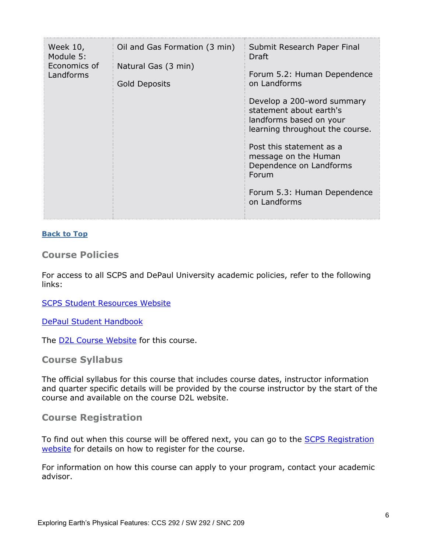| Week 10,<br>Module 5:<br>Economics of<br>Landforms | Oil and Gas Formation (3 min)<br>Natural Gas (3 min)<br><b>Gold Deposits</b> | Submit Research Paper Final<br>Draft<br>Forum 5.2: Human Dependence<br>on Landforms<br>Develop a 200-word summary<br>statement about earth's<br>landforms based on your<br>learning throughout the course.<br>Post this statement as a<br>message on the Human<br>Dependence on Landforms<br>Forum |
|----------------------------------------------------|------------------------------------------------------------------------------|----------------------------------------------------------------------------------------------------------------------------------------------------------------------------------------------------------------------------------------------------------------------------------------------------|
|                                                    |                                                                              | Forum 5.3: Human Dependence<br>on Landforms                                                                                                                                                                                                                                                        |

#### **[Back to Top](#page-0-1)**

#### <span id="page-5-0"></span>**Course Policies**

For access to all SCPS and DePaul University academic policies, refer to the following links:

[SCPS Student Resources Website](https://scps.depaul.edu/student-resources/Pages/default.aspx)

[DePaul Student Handbook](https://catalog.depaul.edu/student-handbooks/)

The **D2L Course Website** for this course.

#### **Course Syllabus**

The official syllabus for this course that includes course dates, instructor information and quarter specific details will be provided by the course instructor by the start of the course and available on the course D2L website.

#### **Course Registration**

To find out when this course will be offered next, you can go to the **SCPS Registration** [website](https://scps.depaul.edu/academics/registration/Pages/Undergraduate-Registration-Information.aspx) for details on how to register for the course.

For information on how this course can apply to your program, contact your academic advisor.